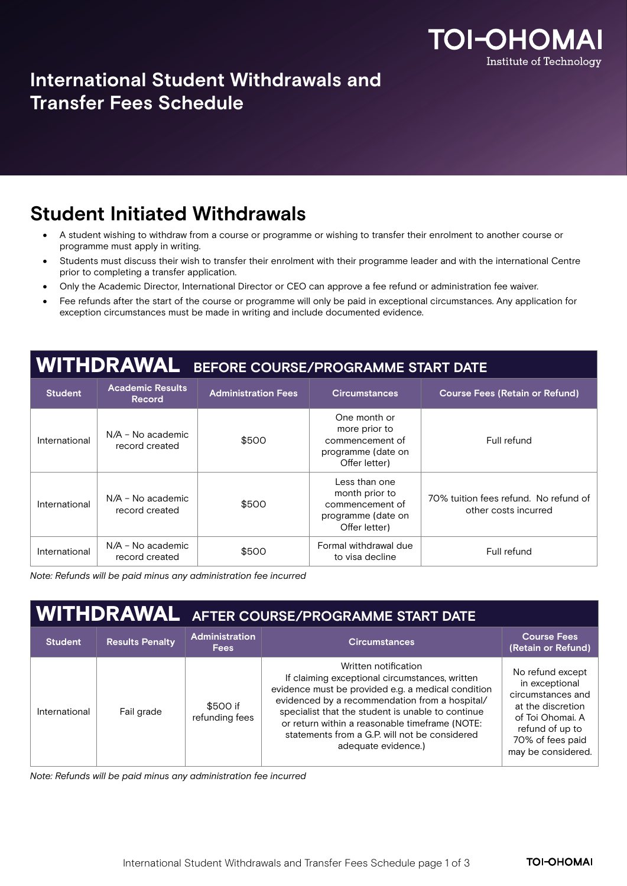

### **International Student Withdrawals and Transfer Fees Schedule**

#### **Student Initiated Withdrawals**

- A student wishing to withdraw from a course or programme or wishing to transfer their enrolment to another course or programme must apply in writing.
- Students must discuss their wish to transfer their enrolment with their programme leader and with the international Centre prior to completing a transfer application.
- Only the Academic Director, International Director or CEO can approve a fee refund or administration fee waiver.
- Fee refunds after the start of the course or programme will only be paid in exceptional circumstances. Any application for exception circumstances must be made in writing and include documented evidence.

## WITHDRAWAL **BEFORE COURSE/PROGRAMME START DATE**

| <b>Student</b> | <b>Academic Results</b><br><b>Record</b> | <b>Administration Fees</b> | <b>Circumstances</b>                                                                      | <b>Course Fees (Retain or Refund)</b>                         |
|----------------|------------------------------------------|----------------------------|-------------------------------------------------------------------------------------------|---------------------------------------------------------------|
| International  | N/A - No academic<br>record created      | \$500                      | One month or<br>more prior to<br>commencement of<br>programme (date on<br>Offer letter)   | Full refund                                                   |
| International  | N/A - No academic<br>record created      | \$500                      | Less than one<br>month prior to<br>commencement of<br>programme (date on<br>Offer letter) | 70% tuition fees refund. No refund of<br>other costs incurred |
| International  | N/A - No academic<br>record created      | \$500                      | Formal withdrawal due<br>to visa decline                                                  | Full refund                                                   |

*Note: Refunds will be paid minus any administration fee incurred*

|                |                        | <b>WITHDRAWAL</b> AFTER COURSE/PROGRAMME START DATE |                                                                                                                                                                                                                                                                                                                                                               |                                                                                                                                                               |  |
|----------------|------------------------|-----------------------------------------------------|---------------------------------------------------------------------------------------------------------------------------------------------------------------------------------------------------------------------------------------------------------------------------------------------------------------------------------------------------------------|---------------------------------------------------------------------------------------------------------------------------------------------------------------|--|
| <b>Student</b> | <b>Results Penalty</b> | <b>Administration</b><br><b>Fees</b>                | <b>Circumstances</b>                                                                                                                                                                                                                                                                                                                                          | <b>Course Fees</b><br>(Retain or Refund)                                                                                                                      |  |
| International  | Fail grade             | \$500 if<br>refunding fees                          | Written notification<br>If claiming exceptional circumstances, written<br>evidence must be provided e.g. a medical condition<br>evidenced by a recommendation from a hospital/<br>specialist that the student is unable to continue<br>or return within a reasonable timeframe (NOTE:<br>statements from a G.P. will not be considered<br>adequate evidence.) | No refund except<br>in exceptional<br>circumstances and<br>at the discretion<br>of Toi Ohomai. A<br>refund of up to<br>70% of fees paid<br>may be considered. |  |

*Note: Refunds will be paid minus any administration fee incurred*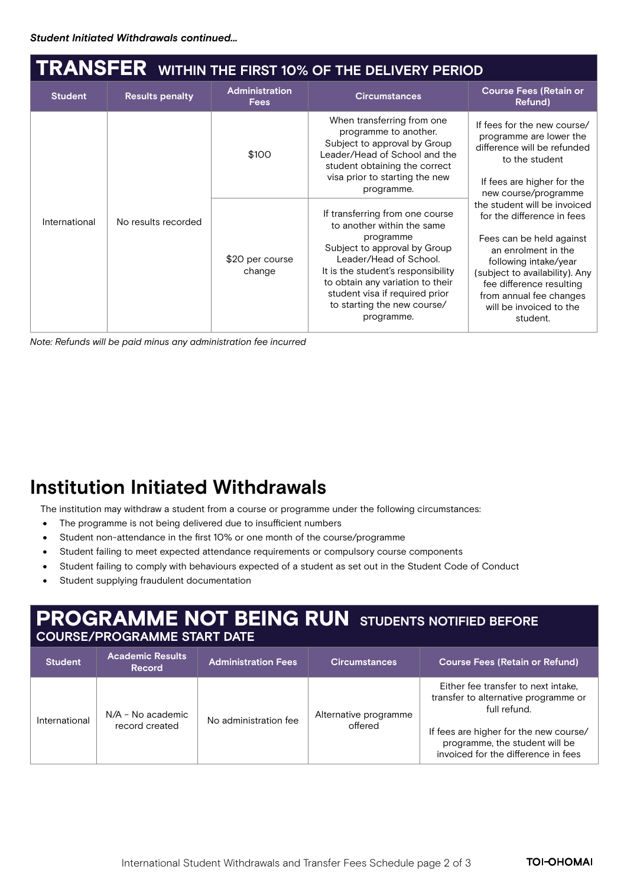# TRANSFER **WITHIN THE FIRST 10% OF THE DELIVERY PERIOD**

| <b>Student</b> | <b>Results penalty</b> | <b>Administration</b><br><b>Fees</b> | <b>Circumstances</b>                                                                                                                                                                                                                                                                          | <b>Course Fees (Retain or</b><br>Refund)                                                                                                                                                                                                                               |
|----------------|------------------------|--------------------------------------|-----------------------------------------------------------------------------------------------------------------------------------------------------------------------------------------------------------------------------------------------------------------------------------------------|------------------------------------------------------------------------------------------------------------------------------------------------------------------------------------------------------------------------------------------------------------------------|
| International  | No results recorded    | \$100                                | When transferring from one<br>programme to another.<br>Subject to approval by Group<br>Leader/Head of School and the<br>student obtaining the correct<br>visa prior to starting the new<br>programme.                                                                                         | If fees for the new course/<br>programme are lower the<br>difference will be refunded<br>to the student<br>If fees are higher for the<br>new course/programme                                                                                                          |
|                |                        | \$20 per course<br>change            | If transferring from one course<br>to another within the same<br>programme<br>Subject to approval by Group<br>Leader/Head of School.<br>It is the student's responsibility<br>to obtain any variation to their<br>student visa if required prior<br>to starting the new course/<br>programme. | the student will be invoiced<br>for the difference in fees<br>Fees can be held against<br>an enrolment in the<br>following intake/year<br>(subject to availability). Any<br>fee difference resulting<br>from annual fee changes<br>will be invoiced to the<br>student. |

*Note: Refunds will be paid minus any administration fee incurred* 

### **Institution Initiated Withdrawals**

The institution may withdraw a student from a course or programme under the following circumstances:

- The programme is not being delivered due to insufficient numbers
- Student non-attendance in the first 10% or one month of the course/programme
- Student failing to meet expected attendance requirements or compulsory course components
- Student failing to comply with behaviours expected of a student as set out in the Student Code of Conduct
- Student supplying fraudulent documentation

# PROGRAMME NOT BEING RUN **STUDENTS NOTIFIED BEFORE**

#### **COURSE/PROGRAMME START DATE**

| <b>Student</b> | <b>Academic Results</b><br><b>Record</b> | <b>Administration Fees</b> ' | <b>Circumstances</b>             | <b>Course Fees (Retain or Refund)</b>                                                                                                                                                                          |
|----------------|------------------------------------------|------------------------------|----------------------------------|----------------------------------------------------------------------------------------------------------------------------------------------------------------------------------------------------------------|
| International  | $N/A$ – No academic<br>record created    | No administration fee        | Alternative programme<br>offered | Either fee transfer to next intake.<br>transfer to alternative programme or<br>full refund.<br>If fees are higher for the new course/<br>programme, the student will be<br>invoiced for the difference in fees |